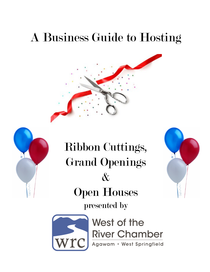# A Business Guide to Hosting





Ribbon Cuttings, Grand Openings  $\mathcal{X}$ Open Houses presented by





West of the River Chamber<br>Agawam · West Springfield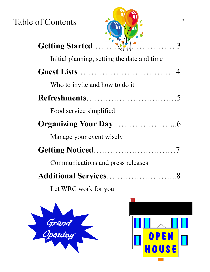Table of Contents



| Initial planning, setting the date and time |
|---------------------------------------------|
|                                             |
| Who to invite and how to do it              |
|                                             |
| Food service simplified                     |
|                                             |
| Manage your event wisely                    |
|                                             |
| Communications and press releases           |
| Additional Services                         |
|                                             |

Let WRC work for you



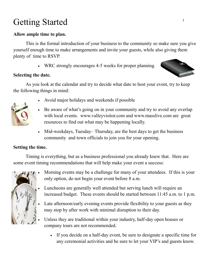### Getting Started

#### **Allow ample time to plan.**

This is the formal introduction of your business to the community so make sure you give yourself enough time to make arrangements and invite your guests, while also giving them plenty of time to RSVP.

WRC strongly encourages 4-5 weeks for proper planning.

#### **Selecting the date.**

As you look at the calendar and try to decide what date to host your event, try to keep the following things in mind:

- 
- Avoid major holidays and weekends if possible
- Be aware of what's going on in your community and try to avoid any overlap with local events. www.valleyvisitor.com and www.masslive.com are great resources to find out what may be happening locally.
- Mid-weekdays, Tuesday– Thursday, are the best days to get the business community and town officials to join you for your opening.

#### **Setting the time.**

Timing is everything, but as a business professional you already knew that. Here are some event timing recommendations that will help make your event a success:



- Morning events may be a challenge for many of your attendees. If this is your only option, do not begin your event before 8 a.m.
- Luncheons are generally well attended but serving lunch will require an increased budget. These events should be started between 11:45 a.m. to 1 p.m.
- Late afternoon/early evening events provide flexibility to your guests as they may stop by after work with minimal disruption to their day.
- Unless they are traditional within your industry, half-day open houses or company tours are not recommended.
	- If you decide on a half-day event, be sure to designate a specific time for any ceremonial activities and be sure to let your VIP's and guests know.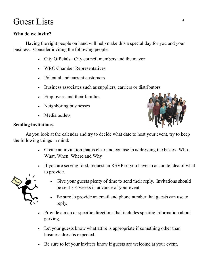### Guest Lists  $\frac{4}{4}$

#### **Who do we invite?**

Having the right people on hand will help make this a special day for you and your business. Consider inviting the following people:

- City Officials– City council members and the mayor
- WRC Chamber Representatives
- Potential and current customers
- Business associates such as suppliers, carriers or distributors
- Employees and their families
- Neighboring businesses
- Media outlets

#### **Sending invitations.**



As you look at the calendar and try to decide what date to host your event, try to keep the following things in mind:

- Create an invitation that is clear and concise in addressing the basics- Who, What, When, Where and Why
- If you are serving food, request an RSVP so you have an accurate idea of what to provide.



- Give your guests plenty of time to send their reply. Invitations should be sent 3-4 weeks in advance of your event.
- Be sure to provide an email and phone number that guests can use to reply.
- Provide a map or specific directions that includes specific information about parking.
- Let your guests know what attire is appropriate if something other than business dress is expected.
- Be sure to let your invitees know if guests are welcome at your event.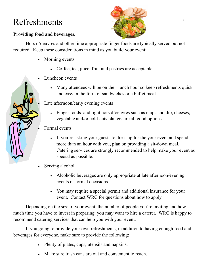### Refreshments

#### **Providing food and beverages.**

Hors d'oeuvres and other time appropriate finger foods are typically served but not required. Keep these considerations in mind as you build your event:

- Morning events
	- Coffee, tea, juice, fruit and pastries are acceptable.
- Luncheon events
	- Many attendees will be on their lunch hour so keep refreshments quick and easy in the form of sandwiches or a buffet meal.

Late afternoon/early evening events

- Finger foods and light hors d'oeuvres such as chips and dip, cheeses, vegetable and/or cold-cuts platters are all good options.
- Formal events
	- If you're asking your guests to dress up for the your event and spend more than an hour with you, plan on providing a sit-down meal. Catering services are strongly recommended to help make your event as special as possible.
- Serving alcohol
	- Alcoholic beverages are only appropriate at late afternoon/evening events or formal occasions.
	- You may require a special permit and additional insurance for your event. Contact WRC for questions about how to apply.

Depending on the size of your event, the number of people you're inviting and how much time you have to invest in preparing, you may want to hire a caterer. WRC is happy to recommend catering services that can help you with your event.

If you going to provide your own refreshments, in addition to having enough food and beverages for everyone, make sure to provide the following:

- Plenty of plates, cups, utensils and napkins.
- Make sure trash cans are out and convenient to reach.

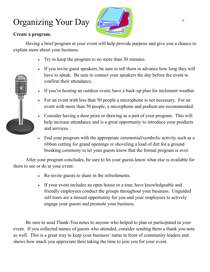## Organizing Your Day

#### **Create a program.**

Having a brief program at your event will help provide purpose and give you a chance to explain more about your business.

- Try to keep the program to no more than 30 minutes.
- If you invite guest speakers, be sure to tell them in advance how long they will have to speak. Be sure to contact your speakers the day before the event to confirm their attendance.
- If you're hosting an outdoor event, have a back-up plan for inclement weather.
- For an event with less than 50 people a microphone is not necessary. For an event with more than 50 people, a microphone and podium are recommended.
- Consider having a door prize or drawing as a part of your program. This will help increase attendance and is a great opportunity to introduce your products and services.
- End your program with the appropriate ceremonial/symbolic activity such as a ribbon cutting for grand openings or shoveling a load of dirt for a ground breaking ceremony to let your guests know that the formal program is over.

After your program concludes, be sure to let your guests know what else is available for them to see or do at your event:

- Re-invite guests to share in the refreshments.
- If your event includes an open house or a tour, have knowledgeable and friendly employees conduct the groups throughout your business. Unguided self tours are a missed opportunity for you and your employees to actively engage your guests and promote your business.

Be sure to send Thank-You notes to anyone who helped to plan or participated in your event. If you collected names of guests who attended, consider sending them a thank you note as well. This is a great way to keep your business' name in front of community leaders and shows how much you appreciate their taking the time to join you for your event.

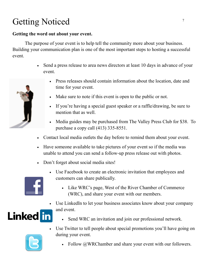## Getting Noticed 7

#### **Getting the word out about your event.**

The purpose of your event is to help tell the community more about your business. Building your communication plan is one of the most important steps to hosting a successful event.

> Send a press release to area news directors at least 10 days in advance of your event.



- Make sure to note if this event is open to the public or not.
- If you're having a special guest speaker or a raffle/drawing, be sure to mention that as well.
- Media guides may be purchased from The Valley Press Club for \$38. To purchase a copy call (413) 335-8551.
- Contact local media outlets the day before to remind them about your event.
- Have someone available to take pictures of your event so if the media was unable to attend you can send a follow-up press release out with photos.
- Don't forget about social media sites!

during your event.



- Use Facebook to create an electronic invitation that employees and customers can share publically.
	- Like WRC's page, West of the River Chamber of Commerce (WRC), and share your event with our members.
- Use LinkedIn to let your business associates know about your company and event. **Linked** in





Follow @WRChamber and share your event with our followers.

Use Twitter to tell people about special promotions you'll have going on